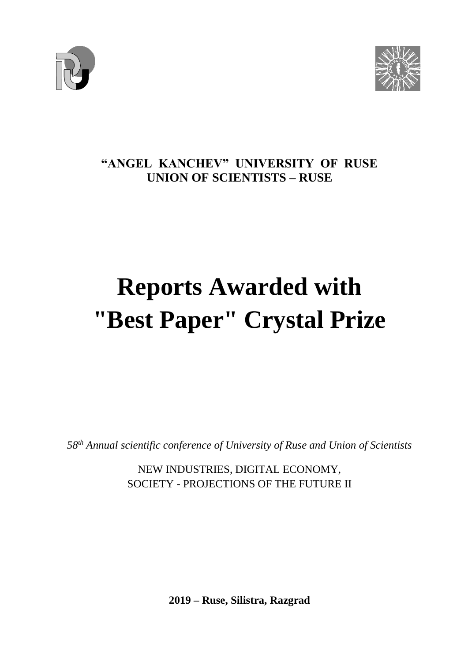



### **"ANGEL KANCHEV" UNIVERSITY OF RUSE UNION OF SCIENTISTS – RUSE**

## **Reports Awarded with "Best Paper" Crystal Prize**

*58 th Annual scientific conference of University of Ruse and Union of Scientists*

NEW INDUSTRIES, DIGITAL ECONOMY, SOCIETY - PROJECTIONS OF THE FUTURE II

**2019 – Ruse, Silistra, Razgrad**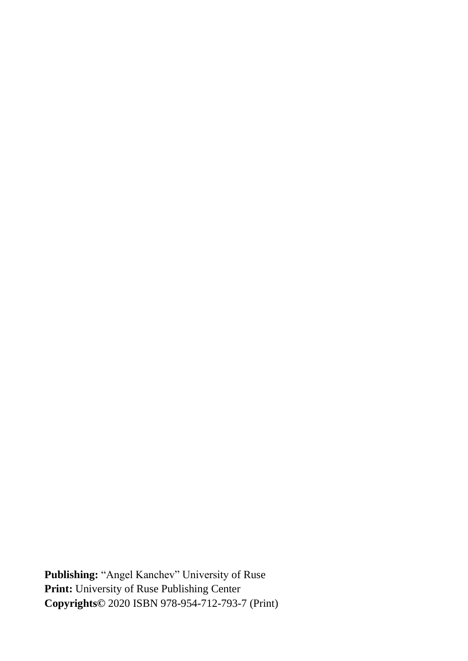**Publishing:** "Angel Kanchev" University of Ruse **Print:** University of Ruse Publishing Center **Copyrights©** 2020 ISBN 978-954-712-793-7 (Print)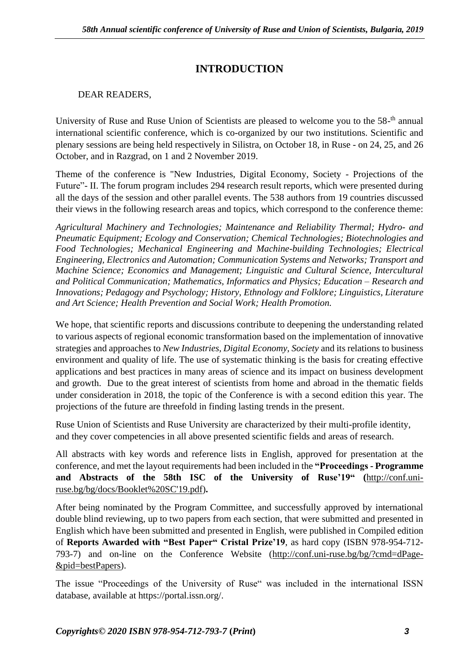#### **INTRODUCTION**

#### DEAR READERS,

University of Ruse and Ruse Union of Scientists are pleased to welcome you to the 58-<sup>th</sup> annual international scientific conference, which is co-organized by our two institutions. Scientific and plenary sessions are being held respectively in Silistra, on October 18, in Ruse - on 24, 25, and 26 October, and in Razgrad, on 1 and 2 November 2019.

Theme of the conference is "New Industries, Digital Economy, Society - Projections of the Future"- II. The forum program includes 294 research result reports, which were presented during all the days of the session and other parallel events. The 538 authors from 19 countries discussed their views in the following research areas and topics, which correspond to the conference theme:

*Agricultural Machinery and Technologies; Maintenance and Reliability Thermal; Hydro- and Pneumatic Equipment; Ecology and Conservation; Chemical Technologies; Biotechnologies and Food Technologies; Mechanical Engineering and Machine-building Technologies; Electrical Engineering, Electronics and Automation; Communication Systems and Networks; Transport and Machine Science; Economics and Management; Linguistic and Cultural Science, Intercultural and Political Communication; Mathematics, Informatics and Physics; Education – Research and Innovations; Pedagogy and Psychology; History, Ethnology and Folklore; Linguistics, Literature and Art Science; Health Prevention and Social Work; Health Promotion.*

We hope, that scientific reports and discussions contribute to deepening the understanding related to various aspects of regional economic transformation based on the implementation of innovative strategies and approaches to *New Industries, Digital Economy, Society* and its relations to business environment and quality of life. The use of systematic thinking is the basis for creating effective applications and best practices in many areas of science and its impact on business development and growth. Due to the great interest of scientists from home and abroad in the thematic fields under consideration in 2018, the topic of the Conference is with a second edition this year. The projections of the future are threefold in finding lasting trends in the present.

Ruse Union of Scientists and Ruse University are characterized by their multi-profile identity, and they cover competencies in all above presented scientific fields and areas of research.

All abstracts with key words and reference lists in English, approved for presentation at the conference, and met the layout requirements had been included in the **"Proceedings - Programme and Abstracts of the 58th ISC of the University of Ruse'19" (**[http://conf.uni](http://conf.uni-ruse.bg/bg/docs/Booklet%20SC)[ruse.bg/bg/docs/Booklet%20SC'19.pdf\)](http://conf.uni-ruse.bg/bg/docs/Booklet%20SC)**.**

After being nominated by the Program Committee, and successfully approved by international double blind reviewing, up to two papers from each section, that were submitted and presented in English which have been submitted and presented in English, were published in Compiled edition of **Reports Awarded with "Best Paper" Cristal Prize'19**, as hard copy (ISBN 978-954-712- 793-7) and on-line on the Conference Website [\(http://conf.uni-ruse.bg/bg/?cmd=dPage-](http://conf.uni-ruse.bg/bg/?cmd=dPage&pid=bestPapers) [&pid=bestPapers\)](http://conf.uni-ruse.bg/bg/?cmd=dPage&pid=bestPapers).

The issue "Proceedings of the University of Ruse" was included in the international ISSN database, available at https://portal.issn.org/.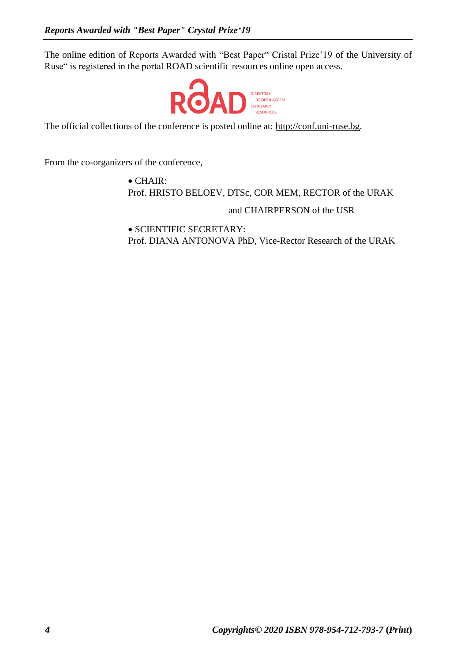The online edition of Reports Awarded with "Best Paper" Cristal Prize'19 of the University of Ruse" is registered in the portal ROAD scientific resources online open access.



The official collections of the conference is posted online at: [http://conf.uni-ruse.bg.](http://conf.uni-ruse.bg/)

From the co-organizers of the conference,

• CHAIR: Prof. HRISTO BELOEV, DTSc, COR MEM, RECTOR of the URAK

and CHAIRPERSON of the USR

• SCIENTIFIC SECRETARY: Prof. DIANA ANTONOVA PhD, Vice-Rector Research of the URAK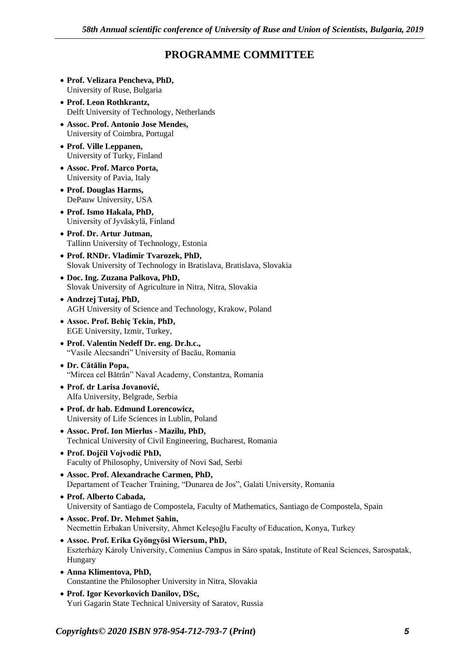#### **PROGRAMME COMMITTEE**

- **Prof. Velizara Pencheva, PhD,** University of Ruse, Bulgaria
- **Prof. Leon Rothkrantz,** Delft University of Technology, Netherlands
- **Assoc. Prof. Antonio Jose Mendes,** University of Coimbra, Portugal
- **Prof. Ville Leppanen,** University of Turky, Finland
- **Assoc. Prof. Marco Porta,** University of Pavia, Italy
- **Prof. Douglas Harms,** DePauw University, USA
- **Prof. Ismo Hakala, PhD,** University of Jyväskylä, Finland
- **Prof. Dr. Artur Jutman,** Tallinn University of Technology, Estonia
- **Prof. RNDr. Vladimir Tvarozek, PhD,** Slovak University of Technology in Bratislava, Bratislava, Slovakia
- **Doc. Ing. Zuzana Palkova, PhD,** Slovak University of Agriculture in Nitra, Nitra, Slovakia
- **Andrzej Tutaj, PhD,** AGH University of Science and Technology, Krakow, Poland
- **Assoc. Prof. Behiç Tekin, PhD,** EGE University, Izmir, Turkey,
- **Prof. Valentin Nedeff Dr. eng. Dr.h.c.,** "Vasile Alecsandri" University of Bacău, Romania
- **Dr. Cătălin Popa,** "Mircea cel Bătrân" Naval Academy, Constantza, Romania
- **Prof. dr Larisa Jovanović,** Alfa University, Belgrade, Serbia
- **Prof. dr hab. Edmund Lorencowicz,** University of Life Sciences in Lublin, Poland
- **Assoc. Prof. Ion Mierlus - Mazilu, PhD,** Technical University of Civil Engineering, Bucharest, Romania
- **Prof. Dojčil Vojvodić PhD,** Faculty of Philosophy, University of Novi Sad, Serbi
- **Assoc. Prof. Alexandrache Carmen, PhD,** Departament of Teacher Training, "Dunarea de Jos", Galati University, Romania
- **Prof. Alberto Cabada,** University of Santiago de Compostela, Faculty of Mathematics, Santiago de Compostela, Spain
- **Assoc. Prof. Dr. Mehmet Şahin,** Necmettin Erbakan University, Ahmet Keleşoğlu Faculty of Education, Konya, Turkey
- **Assoc. Prof. Erika Gyöngyösi Wiersum, PhD,** Eszterházy Károly University, Comenius Campus in Sáro spatak, Institute of Real Sciences, Sarospatak, Hungary
- **Anna Klimentova, PhD,** Constantine the Philosopher University in Nitra, Slovakia
- **Prof. Igor Kevorkovich Danilov, DSc,** Yuri Gagarin State Technical University of Saratov, Russia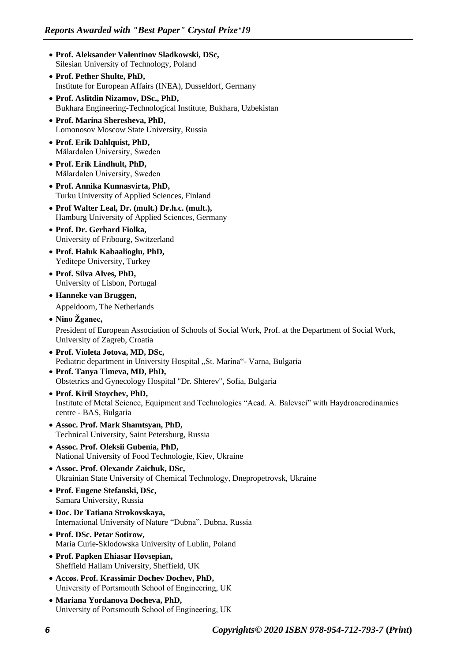- **Prof. Aleksander Valentinov Sladkowski, DSc,** Silesian University of Technology, Poland
- **Prof. Pether Shulte, PhD,** Institute for European Affairs (INEA), Dusseldorf, Germany
- **Prof. Aslitdin Nizamov, DSc., PhD,** Bukhara Engineering-Technological Institute, Bukhara, Uzbekistan
- **Prof. Marina Sheresheva, PhD,** Lomonosov Moscow State University, Russia
- **Prof. Erik Dahlquist, PhD,** Mälardalen University, Sweden
- **Prof. Erik Lindhult, PhD,** Mälardalen University, Sweden
- **Prof. Annika Kunnasvirta, PhD,** Turku University of Applied Sciences, Finland
- **Prof Walter Leal, Dr. (mult.) Dr.h.c. (mult.),** Hamburg University of Applied Sciences, Germany
- **Prof. Dr. Gerhard Fiolka,** University of Fribourg, Switzerland
- **Prof. Haluk Kabaalioglu, PhD,** Yeditepe University, Turkey
- **Prof. Silva Alves, PhD,** University of Lisbon, Portugal
- **Hanneke van Bruggen,** Appeldoorn, The Netherlands
- **Nino Žganec,** President of European Association of Schools of Social Work, Prof. at the Department of Social Work, University of Zagreb, Croatia
- **Prof. Violeta Jotova, MD, DSc,** Pediatric department in University Hospital "St. Marina"- Varna, Bulgaria
- **Prof. Tanya Timeva, MD, PhD,** Obstetrics and Gynecology Hospital "Dr. Shterev", Sofia, Bulgaria
- **Prof. Kiril Stoychev, PhD,** Institute of Metal Science, Equipment and Technologies "Acad. A. Balevsci" with Haydroaerodinamics centre - BAS, Bulgaria
- **Assoc. Prof. Mark Shamtsyan, PhD,** Technical University, Saint Petersburg, Russia
- **Assoc. Prof. Oleksii Gubenia, PhD,** National University of Food Technologie, Kiev, Ukraine
- **Assoc. Prof. Olexandr Zaichuk, DSc,** Ukrainian State University of Chemical Technology, Dnepropetrovsk, Ukraine
- **Prof. Eugene Stefanski, DSc,** Samara University, Russia
- **Doc. Dr Tatiana Strokovskaya,** International University of Nature "Dubna", Dubna, Russia
- **Prof. DSc. Petar Sotirow,** Maria Curie-Sklodowska University of Lublin, Poland
- **Prof. Papken Ehiasar Hovsepian,** Sheffield Hallam University, Sheffield, UK
- **Accos. Prof. Krassimir Dochev Dochev, PhD,** University of Portsmouth School of Engineering, UК
- **Mariana Yordanova Docheva, PhD,** University of Portsmouth School of Engineering, UК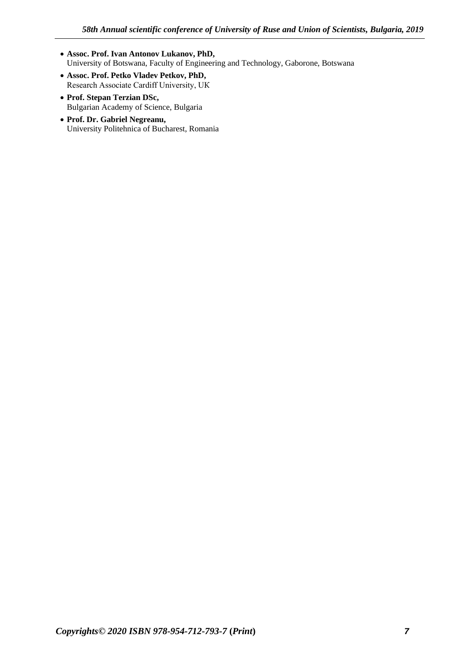- **Assoc. Prof. Ivan Antonov Lukanov, PhD,** University of Botswana, Faculty of Engineering and Technology, Gaborone, Botswana
- **Assoc. Prof. Petko Vladev Petkov, PhD,** Research Associate Cardiff University, UК
- **Prof. Stepan Terzian DSc,** Bulgarian Academy of Science, Bulgaria
- **Prof. Dr. Gabriel Negreanu,** University Politehnica of Bucharest, Romania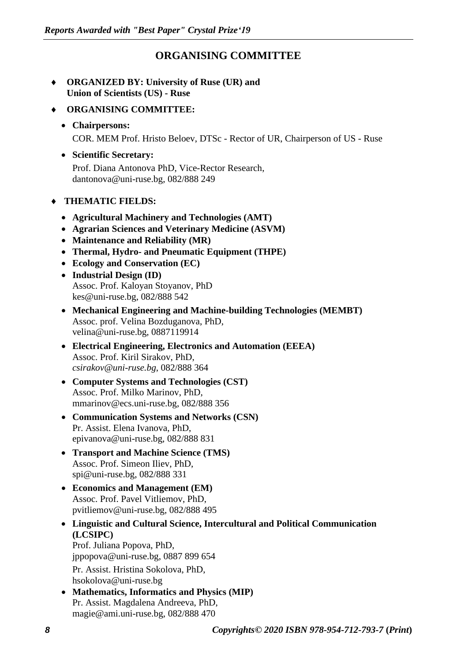#### **ORGANISING COMMITTEE**

- **ORGANIZED BY: University of Ruse (UR) and Union of Scientists (US) - Ruse**
- **ORGANISING COMMITTEE:**
	- **Chairpersons:** COR. MEM Prof. Hristo Beloev, DTSc - Rector of UR, Chairperson of US - Ruse
	- **Scientific Secretary:** Prof. Diana Antonova PhD, Vice-Rector Research, dantonova@uni-ruse.bg, 082/888 249
- **THEMATIC FIELDS:**
	- **Agricultural Machinery and Technologies (AMT)**
	- **Agrarian Sciences and Veterinary Medicine (ASVM)**
	- **Maintenance and Reliability (MR)**
	- **Thermal, Hydro- and Pneumatic Equipment (THPE)**
	- **Ecology and Conservation (EC)**
	- **Industrial Design (ID)** Assoc. Prof. Kaloyan Stoyanov, PhD kes@uni-ruse.bg, 082/888 542
	- **Mechanical Engineering and Machine-building Technologies (MEMBT)** Assoc. prof. Velina Bozduganova, PhD, velina@uni-ruse.bg, 0887119914
	- **Electrical Engineering, Electronics and Automation (EEEA)** Assoc. Prof. Kiril Sirakov, PhD, *[csirakov@uni-ruse.bg](mailto:csirakov@uni-ruse.bg)*, 082/888 364
	- **Computer Systems and Technologies (CST)** Assoc. Prof. Milko Marinov, PhD, mmarinov@ecs.uni-ruse.bg, 082/888 356
	- **Communication Systems and Networks (CSN)** Pr. Assist. Elena Ivanova, PhD, epivanova@uni-ruse.bg, 082/888 831
	- **Transport and Machine Science (TMS)** Assoc. Prof. Simeon Iliev, PhD, spi@uni-ruse.bg, 082/888 331
	- **Economics and Management (EM)** Assoc. Prof. Pavel Vitliemov, PhD, pvitliemov@uni-ruse.bg, 082/888 495
	- **Linguistic and Cultural Science, Intercultural and Political Communication (LCSIPC)** Prof. Juliana Popova, PhD, jppopova@uni-ruse.bg, 0887 899 654 Pr. Assist. Hristina Sokolova, PhD, hsokolova@uni-ruse.bg
	- **Mathematics, Informatics and Physics (MIP)** Pr. Assist. Magdalena Andreeva, PhD, magie@ami.uni-ruse.bg, 082/888 470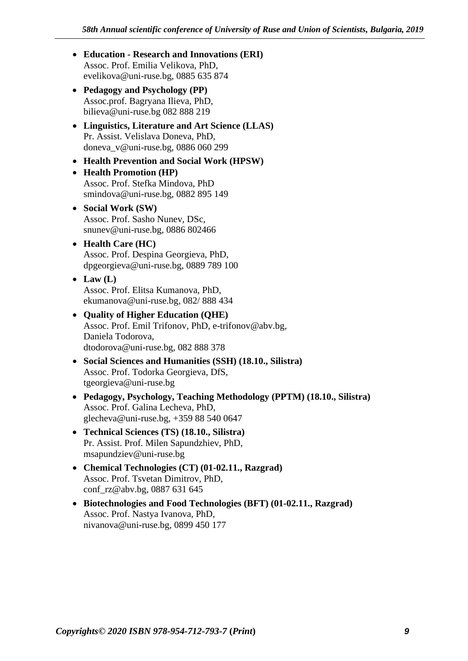- **Education - Research and Innovations (ERI)** Assoc. Prof. Emilia Velikova, PhD, [evelikova@uni-ruse.bg,](mailto:evelikova@uni-ruse.bg) 0885 635 874
- **Pedagogy and Psychology (PP)** Assoc.prof. Bagryana Ilieva, PhD, bilieva@uni-ruse.bg 082 888 219
- **Linguistics, Literature and Art Science (LLAS)** Pr. Assist. Velislava Doneva, PhD, doneva\_v@uni-ruse.bg, 0886 060 299
- **Health Prevention and Social Work (HPSW)**
- **Health Promotion (HP)** Assoc. Prof. Stefka Mindova, PhD smindova@uni-ruse.bg, 0882 895 149
- **Social Work (SW)** Assoc. Prof. Sasho Nunev, DSc, [snunev@uni-ruse.bg,](mailto:snunev@uni-ruse.bg) 0886 802466
- **Health Care (HC)** Assoc. Prof. Despina Georgieva, PhD, dpgeorgieva@uni-ruse.bg, 0889 789 100
- $\bullet$  Law  $(L)$ Assoc. Prof. Elitsa Kumanova, PhD, ekumanova@uni-ruse.bg, 082/ 888 434
- **Quality of Higher Education (QHE)** Assoc. Prof. Emil Trifonov, PhD, e-trifonov@abv.bg, Daniela Todorova, dtodorova@uni-ruse.bg, 082 888 378
- **Social Sciences and Humanities (SSH) (18.10., Silistra)** Assoc. Prof. Todorka Georgieva, DfS, tgeorgieva@uni-ruse.bg
- **Pedagogy, Psychology, Teaching Methodology (PPTM) (18.10., Silistra)** Assoc. Prof. Galina Lecheva, PhD, glecheva@uni-ruse.bg, +359 88 540 0647
- **Technical Sciences (TS) (18.10., Silistra)** Pr. Assist. Prof. Milen Sapundzhiev, PhD, msapundziev@uni-ruse.bg
- **Chemical Technologies (CT) (01-02.11., Razgrad)** Assoc. Prof. Tsvetan Dimitrov, PhD, conf\_rz@abv.bg, 0887 631 645
- **Biotechnologies and Food Technologies (BFT) (01-02.11., Razgrad)** Assoc. Prof. Nastya Ivanova, PhD, nivanova@uni-ruse.bg, 0899 450 177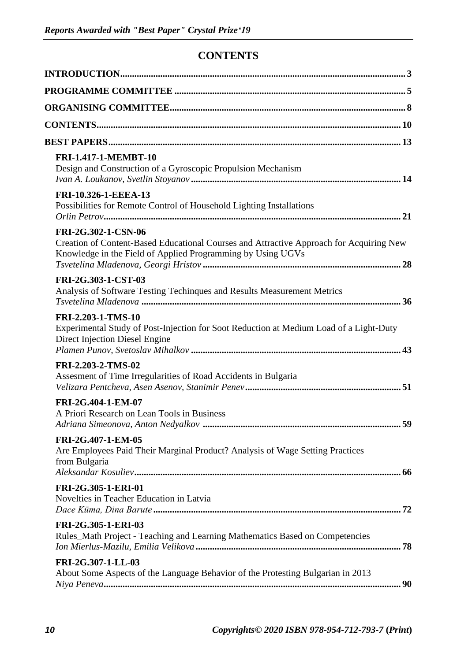#### **CONTENTS**

| <b>FRI-1.417-1-MEMBT-10</b><br>Design and Construction of a Gyroscopic Propulsion Mechanism                                                                                   |
|-------------------------------------------------------------------------------------------------------------------------------------------------------------------------------|
| FRI-10.326-1-EEEA-13<br>Possibilities for Remote Control of Household Lighting Installations                                                                                  |
| FRI-2G.302-1-CSN-06<br>Creation of Content-Based Educational Courses and Attractive Approach for Acquiring New<br>Knowledge in the Field of Applied Programming by Using UGVs |
| FRI-2G.303-1-CST-03<br>Analysis of Software Testing Techinques and Results Measurement Metrics                                                                                |
| FRI-2.203-1-TMS-10<br>Experimental Study of Post-Injection for Soot Reduction at Medium Load of a Light-Duty<br>Direct Injection Diesel Engine                                |
| FRI-2.203-2-TMS-02<br>Assesment of Time Irregularities of Road Accidents in Bulgaria                                                                                          |
| FRI-2G.404-1-EM-07<br>A Priori Research on Lean Tools in Business                                                                                                             |
| FRI-2G.407-1-EM-05<br>Are Employees Paid Their Marginal Product? Analysis of Wage Setting Practices<br>from Bulgaria                                                          |
| FRI-2G.305-1-ERI-01<br>Novelties in Teacher Education in Latvia                                                                                                               |
| FRI-2G.305-1-ERI-03<br>Rules_Math Project - Teaching and Learning Mathematics Based on Competencies                                                                           |
| FRI-2G.307-1-LL-03<br>About Some Aspects of the Language Behavior of the Protesting Bulgarian in 2013                                                                         |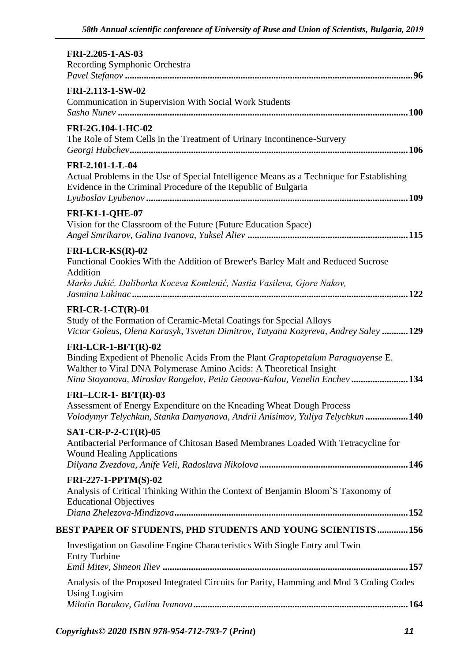| FRI-2.205-1-AS-03<br>Recording Symphonic Orchestra                                                                                                                                                                                                           |  |
|--------------------------------------------------------------------------------------------------------------------------------------------------------------------------------------------------------------------------------------------------------------|--|
| FRI-2.113-1-SW-02<br>Communication in Supervision With Social Work Students                                                                                                                                                                                  |  |
| FRI-2G.104-1-HC-02<br>The Role of Stem Cells in the Treatment of Urinary Incontinence-Survery                                                                                                                                                                |  |
| FRI-2.101-1-L-04<br>Actual Problems in the Use of Special Intelligence Means as a Technique for Establishing<br>Evidence in the Criminal Procedure of the Republic of Bulgaria                                                                               |  |
| <b>FRI-K1-1-QHE-07</b><br>Vision for the Classroom of the Future (Future Education Space)                                                                                                                                                                    |  |
| $FRI-LCR-KS(R)-02$<br>Functional Cookies With the Addition of Brewer's Barley Malt and Reduced Sucrose<br>Addition<br>Marko Jukić, Daliborka Koceva Komlenić, Nastia Vasileva, Gjore Nakov,                                                                  |  |
| $FRI-CR-1-CT(R)-01$<br>Study of the Formation of Ceramic-Metal Coatings for Special Alloys<br>Victor Goleus, Olena Karasyk, Tsvetan Dimitrov, Tatyana Kozyreva, Andrey Saley 129                                                                             |  |
| $FRI-LCR-1-BFT(R)-02$<br>Binding Expedient of Phenolic Acids From the Plant Graptopetalum Paraguayense E.<br>Walther to Viral DNA Polymerase Amino Acids: A Theoretical Insight<br>Nina Stoyanova, Miroslav Rangelov, Petia Genova-Kalou, Venelin Enchev 134 |  |
| $FRI-LCR-1- BFT(R)-03$<br>Assessment of Energy Expenditure on the Kneading Wheat Dough Process<br>Volodymyr Telychkun, Stanka Damyanova, Andrii Anisimov, Yuliya Telychkun 140                                                                               |  |
| $SAT-CR-P-2-CT(R)-05$<br>Antibacterial Performance of Chitosan Based Membranes Loaded With Tetracycline for<br><b>Wound Healing Applications</b>                                                                                                             |  |
| FRI-227-1-PPTM(S)-02<br>Analysis of Critical Thinking Within the Context of Benjamin Bloom`S Taxonomy of<br><b>Educational Objectives</b>                                                                                                                    |  |
| BEST PAPER OF STUDENTS, PHD STUDENTS AND YOUNG SCIENTISTS156                                                                                                                                                                                                 |  |
| Investigation on Gasoline Engine Characteristics With Single Entry and Twin<br><b>Entry Turbine</b>                                                                                                                                                          |  |
| Analysis of the Proposed Integrated Circuits for Parity, Hamming and Mod 3 Coding Codes<br><b>Using Logisim</b>                                                                                                                                              |  |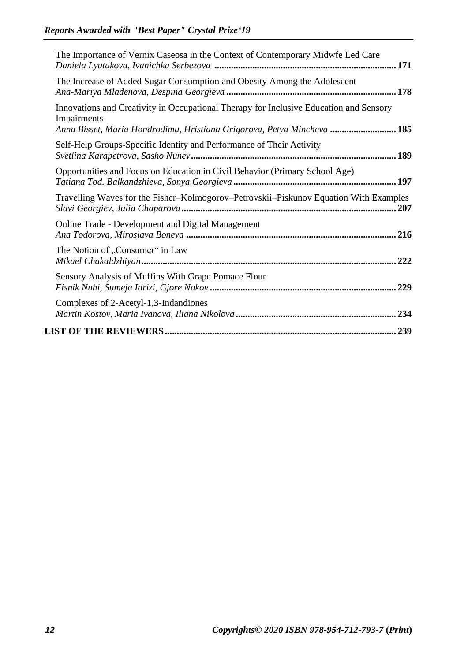| The Importance of Vernix Caseosa in the Context of Contemporary Midwfe Led Care                                                                                                  |
|----------------------------------------------------------------------------------------------------------------------------------------------------------------------------------|
| The Increase of Added Sugar Consumption and Obesity Among the Adolescent                                                                                                         |
| Innovations and Creativity in Occupational Therapy for Inclusive Education and Sensory<br>Impairments<br>Anna Bisset, Maria Hondrodimu, Hristiana Grigorova, Petya Mincheva  185 |
| Self-Help Groups-Specific Identity and Performance of Their Activity                                                                                                             |
| Opportunities and Focus on Education in Civil Behavior (Primary School Age)                                                                                                      |
| Travelling Waves for the Fisher-Kolmogorov-Petrovskii-Piskunov Equation With Examples                                                                                            |
| Online Trade - Development and Digital Management                                                                                                                                |
| The Notion of "Consumer" in Law                                                                                                                                                  |
| Sensory Analysis of Muffins With Grape Pomace Flour                                                                                                                              |
| Complexes of 2-Acetyl-1,3-Indandiones                                                                                                                                            |
|                                                                                                                                                                                  |